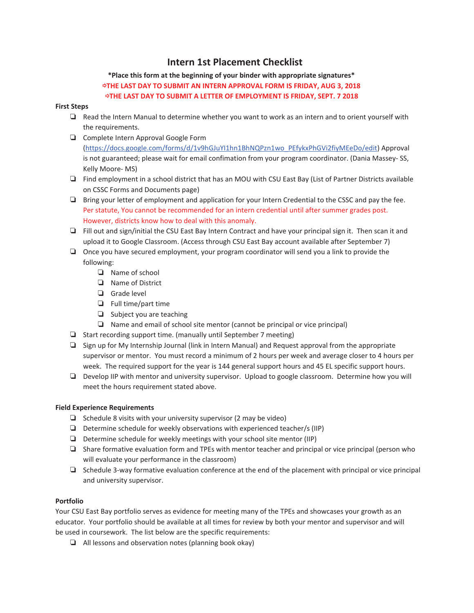# **Intern 1st Placement Checklist**

## **\*Place this form at the beginning of your binder with appropriate signatures\***  ѣ**THE LAST DAY TO SUBMIT AN INTERN APPROVAL FORM IS FRIDAY, AUG 3, 2018**  ѣ**THE LAST DAY TO SUBMIT A LETTER OF EMPLOYMENT IS FRIDAY, SEPT. 7 2018**

## **First Steps**

- $\Box$  Read the Intern Manual to determine whether you want to work as an intern and to orient yourself with the requirements.
- ު Complete Intern Approval Google Form (https://docs.google.com/forms/d/1v9hGJuYI1hn1BhNQPzn1wo\_PEfykxPhGVi2fiyMEeDo/edit) Approval is not guaranteed; please wait for email confimation from your program coordinator. (Dania Massey- SS, Kelly Moore- MS)
- ު Find employment in a school district that has an MOU with CSU East Bay (List of Partner Districts available on CSSC Forms and Documents page)
- $\Box$  Bring your letter of employment and application for your Intern Credential to the CSSC and pay the fee. Per statute, You cannot be recommended for an intern credential until after summer grades post. However, districts know how to deal with this anomaly.
- □ Fill out and sign/initial the CSU East Bay Intern Contract and have your principal sign it. Then scan it and upload it to Google Classroom. (Access through CSU East Bay account available after September 7)
- $\Box$  Once you have secured employment, your program coordinator will send you a link to provide the following:
	- $\Box$  Name of school
	- ު Name of District
	- **q** Grade level
	- $\Box$  Full time/part time
	- $\Box$  Subject you are teaching
	- $\Box$  Name and email of school site mentor (cannot be principal or vice principal)
- $\Box$  Start recording support time. (manually until September 7 meeting)
- $\Box$  Sign up for My Internship Journal (link in Intern Manual) and Request approval from the appropriate supervisor or mentor. You must record a minimum of 2 hours per week and average closer to 4 hours per week. The required support for the year is 144 general support hours and 45 EL specific support hours.
- ު Develop IIP with mentor and university supervisor. Upload to google classroom. Determine how you will meet the hours requirement stated above.

### **Field Experience Requirements**

- $\Box$  Schedule 8 visits with your university supervisor (2 may be video)
- $\Box$  Determine schedule for weekly observations with experienced teacher/s (IIP)
- $\Box$  Determine schedule for weekly meetings with your school site mentor (IIP)
- $\Box$  Share formative evaluation form and TPEs with mentor teacher and principal or vice principal (person who will evaluate your performance in the classroom)
- $\Box$  Schedule 3-way formative evaluation conference at the end of the placement with principal or vice principal and university supervisor.

### **Portfolio**

Your CSU East Bay portfolio serves as evidence for meeting many of the TPEs and showcases your growth as an educator. Your portfolio should be available at all times for review by both your mentor and supervisor and will be used in coursework. The list below are the specific requirements:

 $\Box$  All lessons and observation notes (planning book okay)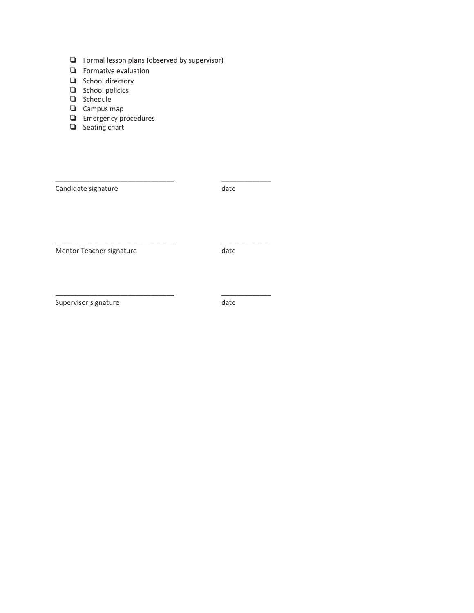- $\Box$  Formal lesson plans (observed by supervisor)
- $\Box$  Formative evaluation
- □ School directory
- $\Box$  School policies
- □ Schedule
- □ Campus map
- $\Box$  Emergency procedures
- □ Seating chart

| Candidate signature      | date |
|--------------------------|------|
| Mentor Teacher signature | date |
|                          |      |

\_\_\_\_\_\_\_\_\_\_\_\_\_\_\_\_\_\_\_\_\_\_\_\_\_\_\_\_\_\_\_ \_\_\_\_\_\_\_\_\_\_\_\_\_

Supervisor signature date date